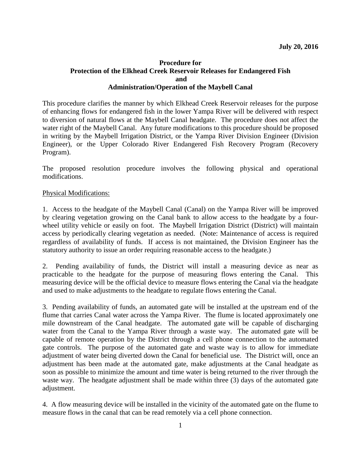## **Procedure for Protection of the Elkhead Creek Reservoir Releases for Endangered Fish and Administration/Operation of the Maybell Canal**

This procedure clarifies the manner by which Elkhead Creek Reservoir releases for the purpose of enhancing flows for endangered fish in the lower Yampa River will be delivered with respect to diversion of natural flows at the Maybell Canal headgate. The procedure does not affect the water right of the Maybell Canal. Any future modifications to this procedure should be proposed in writing by the Maybell Irrigation District, or the Yampa River Division Engineer (Division Engineer), or the Upper Colorado River Endangered Fish Recovery Program (Recovery Program).

The proposed resolution procedure involves the following physical and operational modifications.

## Physical Modifications:

1. Access to the headgate of the Maybell Canal (Canal) on the Yampa River will be improved by clearing vegetation growing on the Canal bank to allow access to the headgate by a fourwheel utility vehicle or easily on foot. The Maybell Irrigation District (District) will maintain access by periodically clearing vegetation as needed. (Note: Maintenance of access is required regardless of availability of funds. If access is not maintained, the Division Engineer has the statutory authority to issue an order requiring reasonable access to the headgate.)

2. Pending availability of funds, the District will install a measuring device as near as practicable to the headgate for the purpose of measuring flows entering the Canal. This measuring device will be the official device to measure flows entering the Canal via the headgate and used to make adjustments to the headgate to regulate flows entering the Canal.

3. Pending availability of funds, an automated gate will be installed at the upstream end of the flume that carries Canal water across the Yampa River. The flume is located approximately one mile downstream of the Canal headgate. The automated gate will be capable of discharging water from the Canal to the Yampa River through a waste way. The automated gate will be capable of remote operation by the District through a cell phone connection to the automated gate controls. The purpose of the automated gate and waste way is to allow for immediate adjustment of water being diverted down the Canal for beneficial use. The District will, once an adjustment has been made at the automated gate, make adjustments at the Canal headgate as soon as possible to minimize the amount and time water is being returned to the river through the waste way. The headgate adjustment shall be made within three (3) days of the automated gate adjustment.

4. A flow measuring device will be installed in the vicinity of the automated gate on the flume to measure flows in the canal that can be read remotely via a cell phone connection.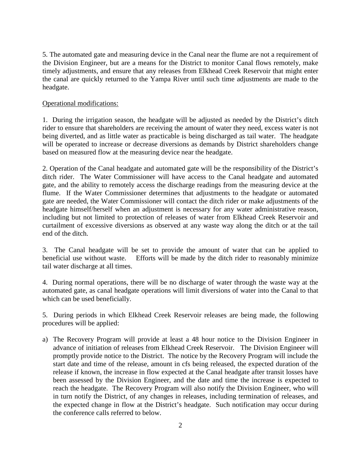5. The automated gate and measuring device in the Canal near the flume are not a requirement of the Division Engineer, but are a means for the District to monitor Canal flows remotely, make timely adjustments, and ensure that any releases from Elkhead Creek Reservoir that might enter the canal are quickly returned to the Yampa River until such time adjustments are made to the headgate.

## Operational modifications:

1. During the irrigation season, the headgate will be adjusted as needed by the District's ditch rider to ensure that shareholders are receiving the amount of water they need, excess water is not being diverted, and as little water as practicable is being discharged as tail water. The headgate will be operated to increase or decrease diversions as demands by District shareholders change based on measured flow at the measuring device near the headgate.

2. Operation of the Canal headgate and automated gate will be the responsibility of the District's ditch rider. The Water Commissioner will have access to the Canal headgate and automated gate, and the ability to remotely access the discharge readings from the measuring device at the flume. If the Water Commissioner determines that adjustments to the headgate or automated gate are needed, the Water Commissioner will contact the ditch rider or make adjustments of the headgate himself/herself when an adjustment is necessary for any water administrative reason, including but not limited to protection of releases of water from Elkhead Creek Reservoir and curtailment of excessive diversions as observed at any waste way along the ditch or at the tail end of the ditch.

3. The Canal headgate will be set to provide the amount of water that can be applied to beneficial use without waste. Efforts will be made by the ditch rider to reasonably minimize tail water discharge at all times.

4. During normal operations, there will be no discharge of water through the waste way at the automated gate, as canal headgate operations will limit diversions of water into the Canal to that which can be used beneficially.

5. During periods in which Elkhead Creek Reservoir releases are being made, the following procedures will be applied:

a) The Recovery Program will provide at least a 48 hour notice to the Division Engineer in advance of initiation of releases from Elkhead Creek Reservoir. The Division Engineer will promptly provide notice to the District. The notice by the Recovery Program will include the start date and time of the release, amount in cfs being released, the expected duration of the release if known, the increase in flow expected at the Canal headgate after transit losses have been assessed by the Division Engineer, and the date and time the increase is expected to reach the headgate. The Recovery Program will also notify the Division Engineer, who will in turn notify the District, of any changes in releases, including termination of releases, and the expected change in flow at the District's headgate. Such notification may occur during the conference calls referred to below.